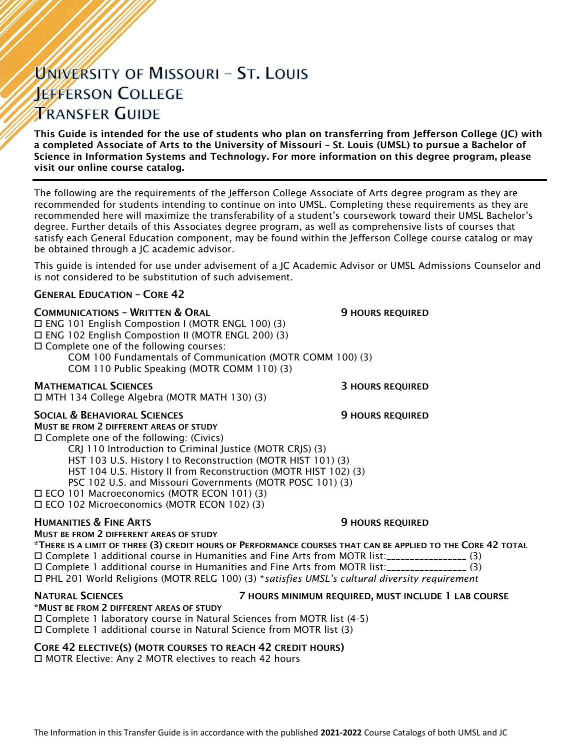# UNIVERSITY OF MISSOURI - ST. LOUIS **JEFFERSON COLLEGE TRANSFER GUIDE**

This Guide is intended for the use of students who plan on transferring from Jefferson College (JC) with a completed Associate of Arts to the University of Missouri – St. Louis (UMSL) to pursue a Bachelor of Science in Information Systems and Technology. For more information on this degree program, please visit our online course catalog.

The following are the requirements of the Jefferson College Associate of Arts degree program as they are recommended for students intending to continue on into UMSL. Completing these requirements as they are recommended here will maximize the transferability of a student's coursework toward their UMSL Bachelor's degree. Further details of this Associates degree program, as well as comprehensive lists of courses that satisfy each General Education component, may be found within the Jefferson College course catalog or may be obtained through a JC academic advisor.

This guide is intended for use under advisement of a JC Academic Advisor or UMSL Admissions Counselor and is not considered to be substitution of such advisement.

### GENERAL EDUCATION – CORE 42

#### **COMMUNICATIONS - WRITTEN & ORAL 5 AU SERVICE SECULAR SECULAR SECULAR SERVICED**

 ENG 101 English Compostion I (MOTR ENGL 100) (3) ENG 102 English Compostion II (MOTR ENGL 200) (3) Complete one of the following courses: COM 100 Fundamentals of Communication (MOTR COMM 100) (3) COM 110 Public Speaking (MOTR COMM 110) (3)

**MATHEMATICAL SCIENCES 3 HOURS REQUIRED** 

MTH 134 College Algebra (MOTR MATH 130) (3)

#### SOCIAL & BEHAVIORAL SCIENCES **19 SOCIAL SERVICES** 9 HOURS REQUIRED

MUST BE FROM 2 DIFFERENT AREAS OF STUDY Complete one of the following: (Civics)

CRJ 110 Introduction to Criminal Justice (MOTR CRJS) (3)

HST 103 U.S. History I to Reconstruction (MOTR HIST 101) (3)

HST 104 U.S. History II from Reconstruction (MOTR HIST 102) (3)

PSC 102 U.S. and Missouri Governments (MOTR POSC 101) (3)

ECO 101 Macroeconomics (MOTR ECON 101) (3)

ECO 102 Microeconomics (MOTR ECON 102) (3)

#### **HUMANITIES & FINE ARTS 19 ACCESS 20 HOURS REQUIRED**

### MUST BE FROM 2 DIFFERENT AREAS OF STUDY

\*THERE IS A LIMIT OF THREE (3) CREDIT HOURS OF PERFORMANCE COURSES THAT CAN BE APPLIED TO THE CORE 42 TOTAL Complete 1 additional course in Humanities and Fine Arts from MOTR list:\_\_\_\_\_\_\_\_\_\_\_\_\_\_\_\_\_ (3) Complete 1 additional course in Humanities and Fine Arts from MOTR list:\_\_\_\_\_\_\_\_\_\_\_\_\_\_\_\_\_ (3) PHL 201 World Religions (MOTR RELG 100) (3) \**satisfies UMSL's cultural diversity requirement*

# \*MUST BE FROM 2 DIFFERENT AREAS OF STUDY

#### NATURAL SCIENCES 7 HOURS MINIMUM REQUIRED, MUST INCLUDE 1 LAB COURSE

 Complete 1 laboratory course in Natural Sciences from MOTR list (4-5) Complete 1 additional course in Natural Science from MOTR list (3)

### CORE 42 ELECTIVE(S) (MOTR COURSES TO REACH 42 CREDIT HOURS)

□ MOTR Elective: Any 2 MOTR electives to reach 42 hours